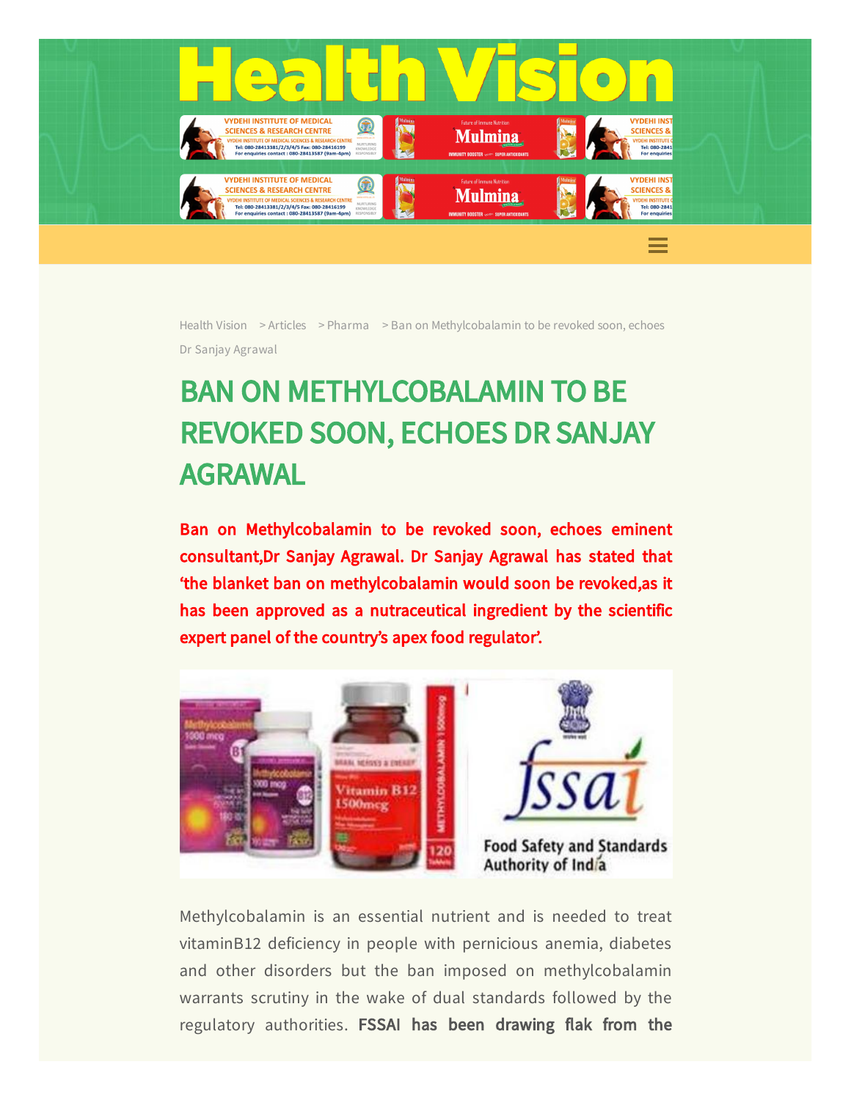

[Health](https://healthvision.in/) Vision > [Articles](https://healthvision.in/category/articles/) > [Pharma](https://healthvision.in/category/articles/pharma/) > Ban on Methylcobalamin to be revoked soon, echoes Dr Sanjay Agrawal

## BAN ON METHYLCOBALAMIN TO BE REVOKED SOON, ECHOES DR SANJAY AGRAWAL

Ban on Methylcobalamin to be revoked soon, echoes eminent consultant,Dr Sanjay Agrawal. Dr Sanjay Agrawal has stated that 'the blanket ban on methylcobalamin would soon be revoked,as it has been approved as a nutraceutical ingredient by the scientific expert panel of the country's apex food regulator'.



Methylcobalamin is an essential nutrient and is needed to treat vitaminB12 deficiency in people with pernicious anemia, diabetes and other disorders but the ban imposed on methylcobalamin warrants scrutiny in the wake of dual standards followed by the regulatory authorities. FSSAI has been drawing flak from the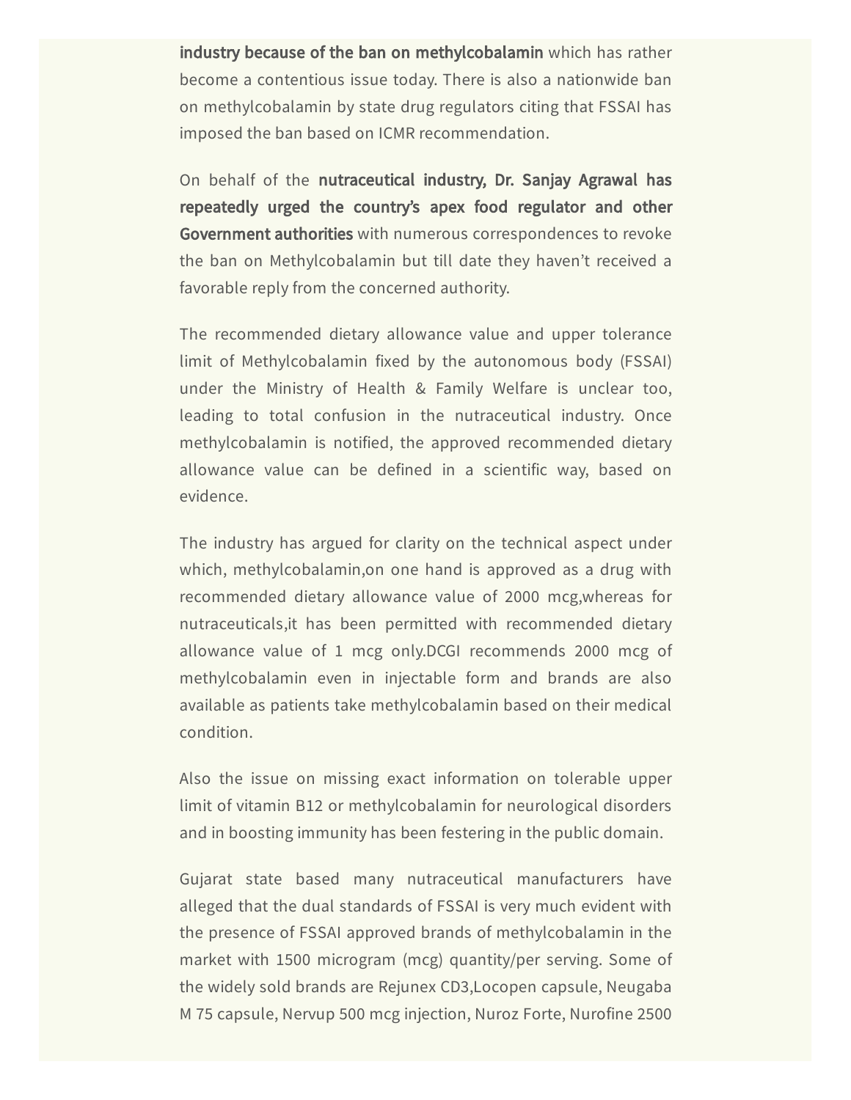industry because of the ban on methylcobalamin which has rather become a contentious issue today. There is also a nationwide ban on methylcobalamin by state drug regulators citing that FSSAI has imposed the ban based on ICMR recommendation.

On behalf of the nutraceutical industry, Dr. Sanjay Agrawal has repeatedly urged the country's apex food regulator and other Government authorities with numerous correspondences to revoke the ban on Methylcobalamin but till date they haven't received a favorable reply from the concerned authority.

The recommended dietary allowance value and upper tolerance limit of Methylcobalamin fixed by the autonomous body (FSSAI) under the Ministry of Health & Family Welfare is unclear too, leading to total confusion in the nutraceutical industry. Once methylcobalamin is notified, the approved recommended dietary allowance value can be defined in a scientific way, based on evidence.

The industry has argued for clarity on the technical aspect under which, methylcobalamin,on one hand is approved as a drug with recommended dietary allowance value of 2000 mcg,whereas for nutraceuticals,it has been permitted with recommended dietary allowance value of 1 mcg only.DCGI recommends 2000 mcg of methylcobalamin even in injectable form and brands are also available as patients take methylcobalamin based on their medical condition.

Also the issue on missing exact information on tolerable upper limit of vitamin B12 or methylcobalamin for neurological disorders and in boosting immunity has been festering in the public domain.

Gujarat state based many nutraceutical manufacturers have alleged that the dual standards of FSSAI is very much evident with the presence of FSSAI approved brands of methylcobalamin in the market with 1500 microgram (mcg) quantity/per serving. Some of the widely sold brands are Rejunex CD3,Locopen capsule, Neugaba M 75 capsule, Nervup 500 mcg injection, Nuroz Forte, Nurofine 2500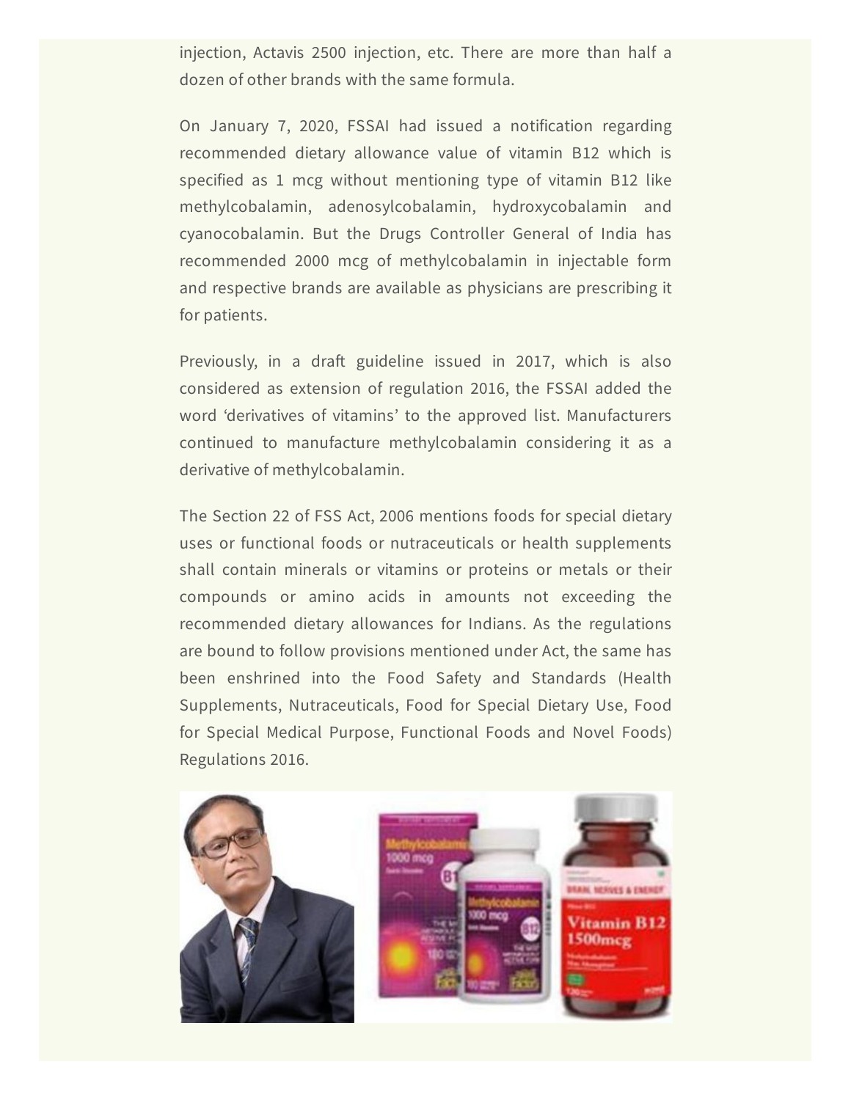injection, Actavis 2500 injection, etc. There are more than half a dozen of other brands with the same formula.

On January 7, 2020, FSSAI had issued a notification regarding recommended dietary allowance value of vitamin B12 which is specified as 1 mcg without mentioning type of vitamin B12 like methylcobalamin, adenosylcobalamin, hydroxycobalamin and cyanocobalamin. But the Drugs Controller General of India has recommended 2000 mcg of methylcobalamin in injectable form and respective brands are available as physicians are prescribing it for patients.

Previously, in a draft guideline issued in 2017, which is also considered as extension of regulation 2016, the FSSAI added the word 'derivatives of vitamins' to the approved list. Manufacturers continued to manufacture methylcobalamin considering it as a derivative of methylcobalamin.

The Section 22 of FSS Act, 2006 mentions foods for special dietary uses or functional foods or nutraceuticals or health supplements shall contain minerals or vitamins or proteins or metals or their compounds or amino acids in amounts not exceeding the recommended dietary allowances for Indians. As the regulations are bound to follow provisions mentioned under Act, the same has been enshrined into the Food Safety and Standards (Health Supplements, Nutraceuticals, Food for Special Dietary Use, Food for Special Medical Purpose, Functional Foods and Novel Foods) Regulations 2016.

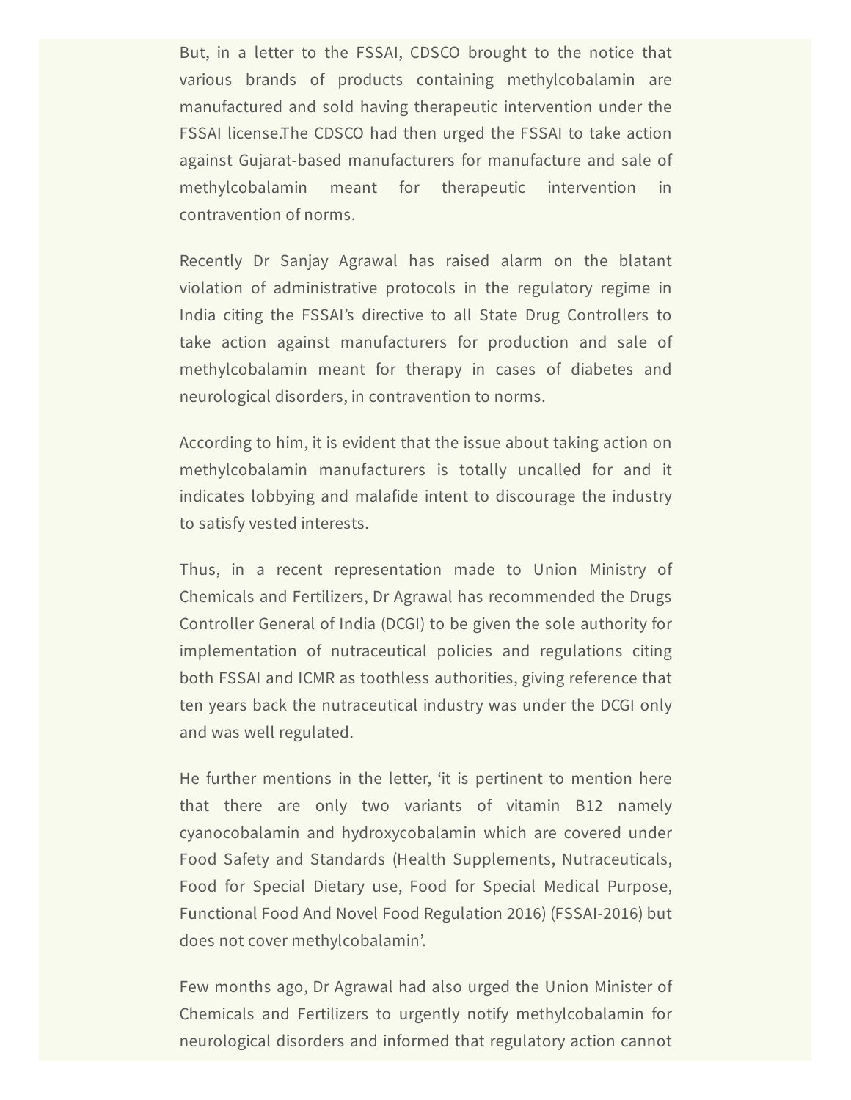But, in a letter to the FSSAI, CDSCO brought to the notice that various brands of products containing methylcobalamin are manufactured and sold having therapeutic intervention under the FSSAI license.The CDSCO had then urged the FSSAI to take action against Gujarat-based manufacturers for manufacture and sale of methylcobalamin meant for therapeutic intervention in contravention of norms.

Recently Dr Sanjay Agrawal has raised alarm on the blatant violation of administrative protocols in the regulatory regime in India citing the FSSAI's directive to all State Drug Controllers to take action against manufacturers for production and sale of methylcobalamin meant for therapy in cases of diabetes and neurological disorders, in contravention to norms.

According to him, it is evident that the issue about taking action on methylcobalamin manufacturers is totally uncalled for and it indicates lobbying and malafide intent to discourage the industry to satisfy vested interests.

Thus, in a recent representation made to Union Ministry of Chemicals and Fertilizers, Dr Agrawal has recommended the Drugs Controller General of India (DCGI) to be given the sole authority for implementation of nutraceutical policies and regulations citing both FSSAI and ICMR as toothless authorities, giving reference that ten years back the nutraceutical industry was under the DCGI only and was well regulated.

He further mentions in the letter, 'it is pertinent to mention here that there are only two variants of vitamin B12 namely cyanocobalamin and hydroxycobalamin which are covered under Food Safety and Standards (Health Supplements, Nutraceuticals, Food for Special Dietary use, Food for Special Medical Purpose, Functional Food And Novel Food Regulation 2016) (FSSAI-2016) but does not cover methylcobalamin'.

Few months ago, Dr Agrawal had also urged the Union Minister of Chemicals and Fertilizers to urgently notify methylcobalamin for neurological disorders and informed that regulatory action cannot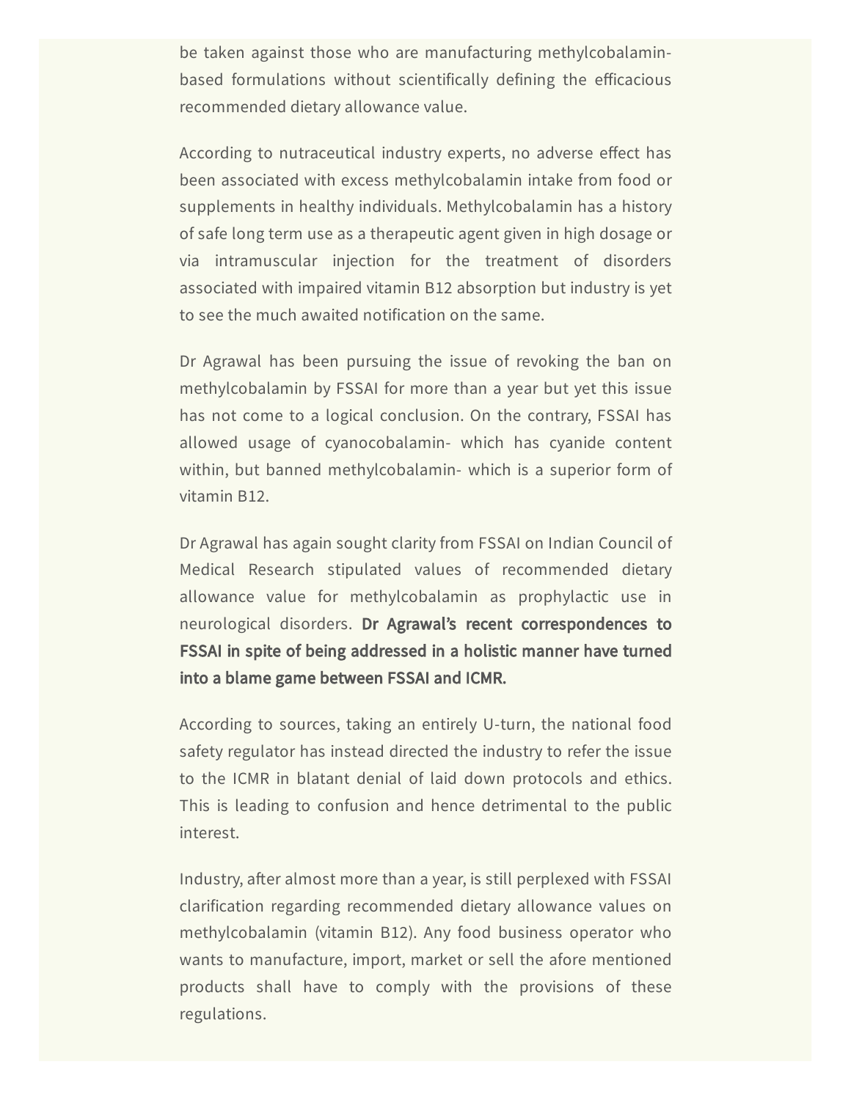be taken against those who are manufacturing methylcobalaminbased formulations without scientifically defining the efficacious recommended dietary allowance value.

According to nutraceutical industry experts, no adverse effect has been associated with excess methylcobalamin intake from food or supplements in healthy individuals. Methylcobalamin has a history of safe long term use as a therapeutic agent given in high dosage or via intramuscular injection for the treatment of disorders associated with impaired vitamin B12 absorption but industry is yet to see the much awaited notification on the same.

Dr Agrawal has been pursuing the issue of revoking the ban on methylcobalamin by FSSAI for more than a year but yet this issue has not come to a logical conclusion. On the contrary, FSSAI has allowed usage of cyanocobalamin- which has cyanide content within, but banned methylcobalamin- which is a superior form of vitamin B12.

Dr Agrawal has again sought clarity from FSSAI on Indian Council of Medical Research stipulated values of recommended dietary allowance value for methylcobalamin as prophylactic use in neurological disorders. Dr Agrawal's recent correspondences to FSSAI in spite of being addressed in a holistic manner have turned into a blame game between FSSAI and ICMR.

According to sources, taking an entirely U-turn, the national food safety regulator has instead directed the industry to refer the issue to the ICMR in blatant denial of laid down protocols and ethics. This is leading to confusion and hence detrimental to the public interest.

Industry, after almost more than a year, is still perplexed with FSSAI clarification regarding recommended dietary allowance values on methylcobalamin (vitamin B12). Any food business operator who wants to manufacture, import, market or sell the afore mentioned products shall have to comply with the provisions of these regulations.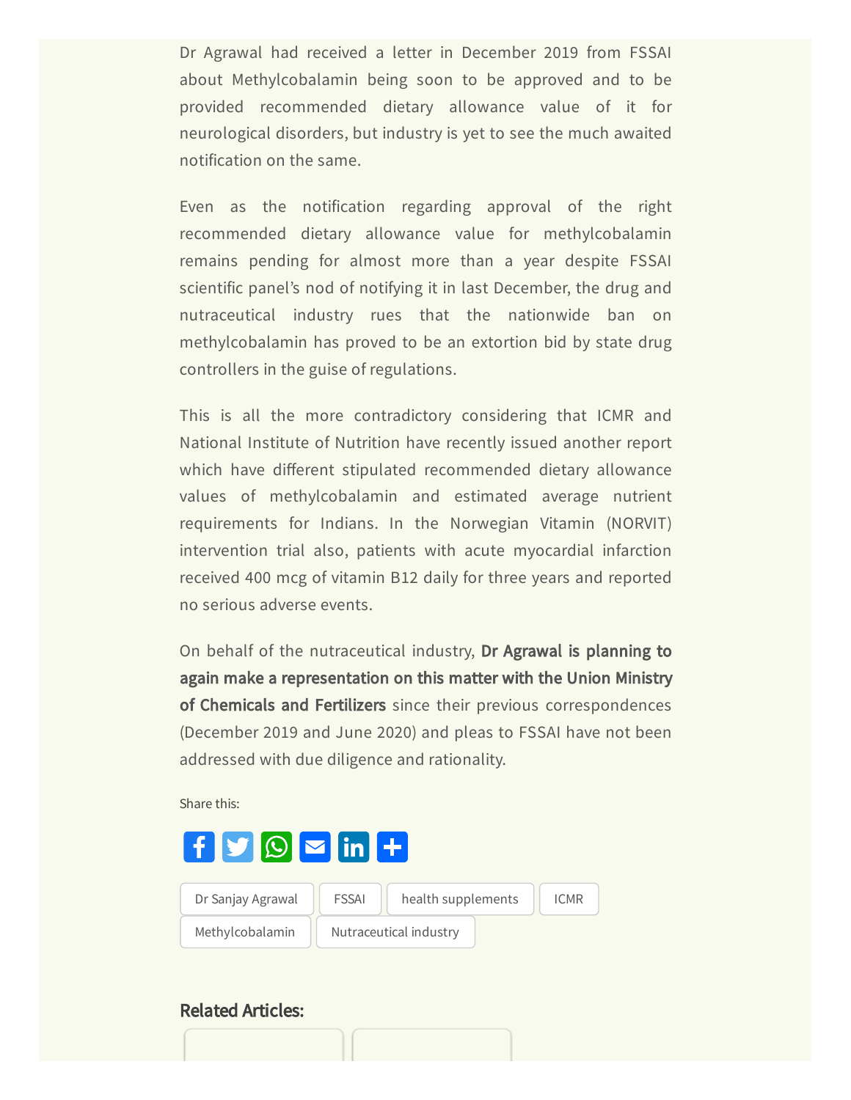Dr Agrawal had received a letter in December 2019 from FSSAI about Methylcobalamin being soon to be approved and to be provided recommended dietary allowance value of it for neurological disorders, but industry is yet to see the much awaited notification on the same.

Even as the notification regarding approval of the right recommended dietary allowance value for methylcobalamin remains pending for almost more than a year despite FSSAI scientific panel's nod of notifying it in last December, the drug and nutraceutical industry rues that the nationwide ban on methylcobalamin has proved to be an extortion bid by state drug controllers in the guise of regulations.

This is all the more contradictory considering that ICMR and National Institute of Nutrition have recently issued another report which have different stipulated recommended dietary allowance values of methylcobalamin and estimated average nutrient requirements for Indians. In the Norwegian Vitamin (NORVIT) intervention trial also, patients with acute myocardial infarction received 400 mcg of vitamin B12 daily for three years and reported no serious adverse events.

On behalf of the nutraceutical industry, Dr Agrawal is planning to again make a representation on this matter with the Union Ministry of Chemicals and Fertilizers since their previous correspondences (December 2019 and June 2020) and pleas to FSSAI have not been addressed with due diligence and rationality.

Share this:



## Related Articles: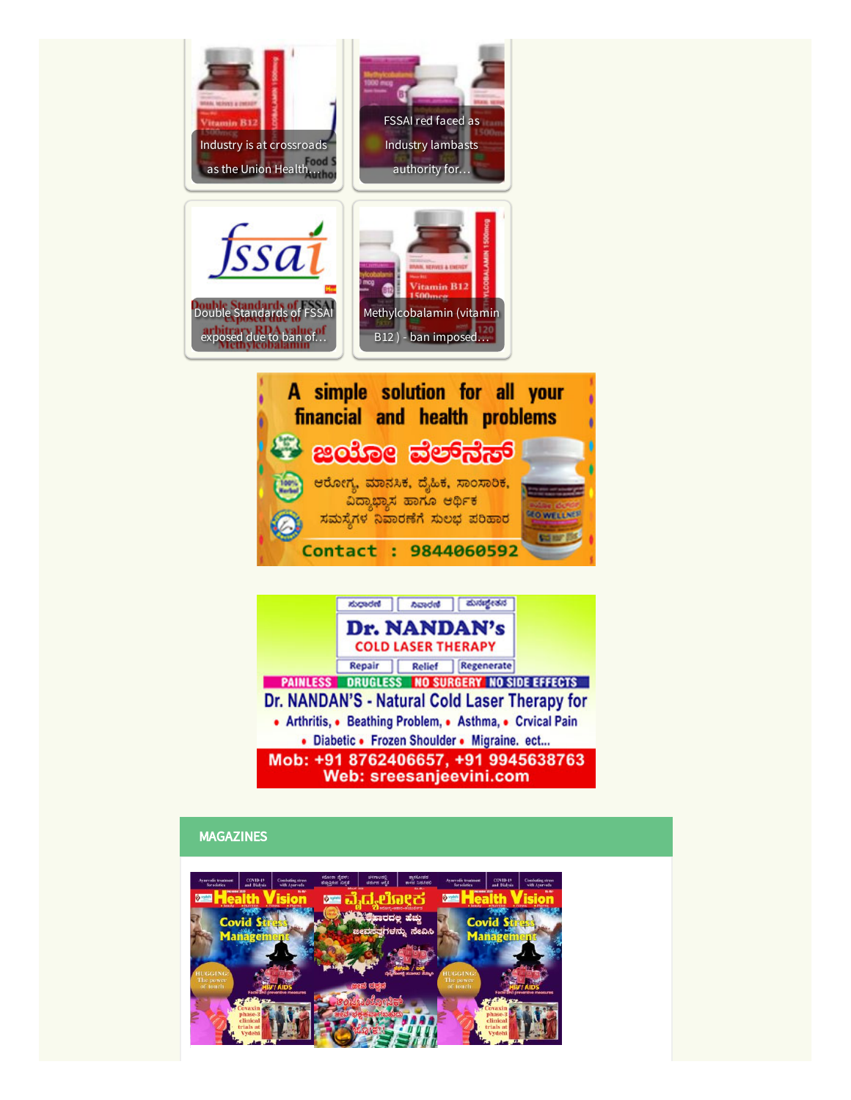

Repair | Relief | Regenerate **PAINLESS DRUGLESS NO SURGERY NO SIDE EFFECTS** Dr. NANDAN'S - Natural Cold Laser Therapy for • Arthritis, • Beathing Problem, • Asthma, • Crvical Pain • Diabetic • Frozen Shoulder • Migraine. ect... Mob: +91 8762406657, +91 9945638763 **Web: sreesanjeevini.com** 

## MAGAZINES